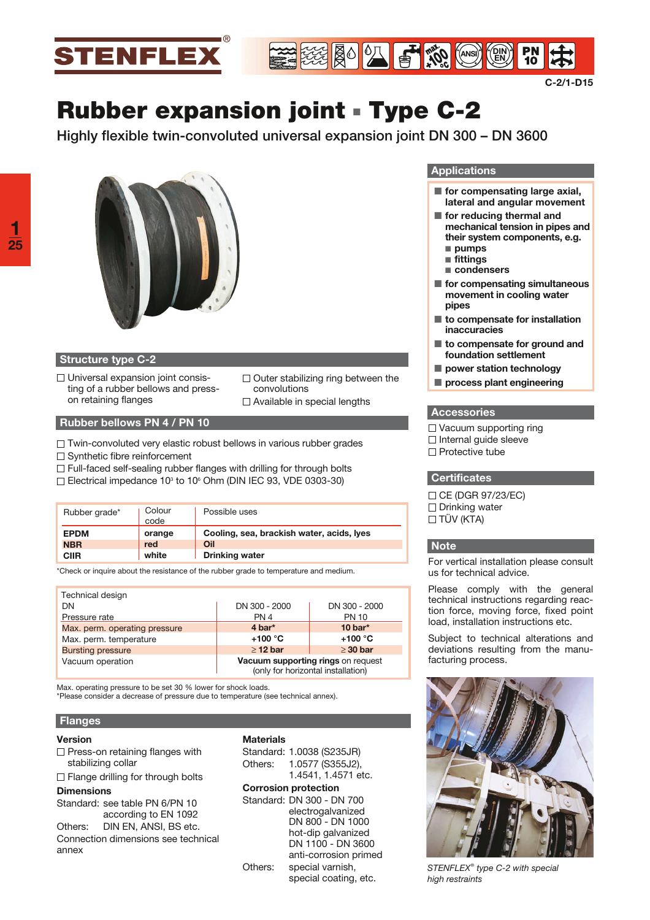



# **Rubber expansion joint · Type C-2**

**Highly flexible twin-convoluted universal expansion joint DN 300 – DN 3600**



### **Structure type C-2**

- $\Box$  Universal expansion joint consisting of a rubber bellows and presson retaining flanges
- $\Box$  Outer stabilizing ring between the convolutions □ Available in special lengths
- **Rubber bellows PN 4 / PN 10**
- $\Box$  Twin-convoluted very elastic robust bellows in various rubber grades
- $\Box$  Synthetic fibre reinforcement
- $\Box$  Full-faced self-sealing rubber flanges with drilling for through bolts
- Electrical impedance 10<sup>3</sup> to 10<sup>6</sup> Ohm (DIN IEC 93, VDE 0303-30)

| Rubber grade* | Colour<br>code | Possible uses                             |
|---------------|----------------|-------------------------------------------|
| <b>EPDM</b>   | orange         | Cooling, sea, brackish water, acids, lyes |
| <b>NBR</b>    | red            | Oil                                       |
| <b>CIIR</b>   | white          | <b>Drinking water</b>                     |

\*Check or inquire about the resistance of the rubber grade to temperature and medium.

| Technical design              |                                                                          |               |  |  |  |
|-------------------------------|--------------------------------------------------------------------------|---------------|--|--|--|
| DN                            | DN 300 - 2000                                                            | DN 300 - 2000 |  |  |  |
| Pressure rate                 | PN <sub>4</sub>                                                          | <b>PN 10</b>  |  |  |  |
| Max. perm. operating pressure | $4$ bar <sup>*</sup>                                                     | 10 bar $*$    |  |  |  |
| Max. perm. temperature        | $+100 °C$                                                                | $+100 °C$     |  |  |  |
| <b>Bursting pressure</b>      | $\geq$ 12 bar                                                            | $\geq$ 30 bar |  |  |  |
| Vacuum operation              | Vacuum supporting rings on request<br>(only for horizontal installation) |               |  |  |  |

 Max. operating pressure to be set 30 % lower for shock loads.

\*Please consider a decrease of pressure due to temperature (see technical annex).

#### **Flanges**

#### **Version**

- $\Box$  Press-on retaining flanges with stabilizing collar
- $\Box$  Flange drilling for through bolts

#### **Dimensions**

- Standard: see table PN 6/PN 10 according to EN 1092
- Others: DIN EN, ANSI, BS etc. Connection dimensions see technical annex

#### **Materials**

Standard: 1.0038 (S235JR) Others: 1.0577 (S355J2), 1.4541, 1.4571 etc.

#### **Corrosion protection**

Standard: DN 300 - DN 700 electrogalvanized DN 800 - DN 1000 hot-dip galvanized DN 1100 - DN 3600 anti-corrosion primed Others: special varnish, special coating, etc.

#### **Applications**

- for compensating large axial, **lateral and angular movement**
- $\blacksquare$  for reducing thermal and **mechanical tension in pipes and their system components, e.g.** - **pumps**
- fittings
- condensers
- for compensating simultaneous **movement in cooling water pipes**
- to compensate for installation **inaccuracies**
- to compensate for ground and **foundation settlement**
- $\blacksquare$  power station technology
- $\blacksquare$  process plant engineering

#### **Accessories**

- $\square$  Vacuum supporting ring
- $\Box$  Internal guide sleeve
- $\Box$  Protective tube

#### **Certificates**

□ CE (DGR 97/23/EC) Drinking water □ TÜV (KTA)

#### **Note**

For vertical installation please consult us for technical advice.

Please comply with the general technical instructions regarding reaction force, moving force, fixed point load, installation instructions etc.

Subject to technical alterations and deviations resulting from the manufacturing process.



*STENFLEX® type C-2 with special high restraints*